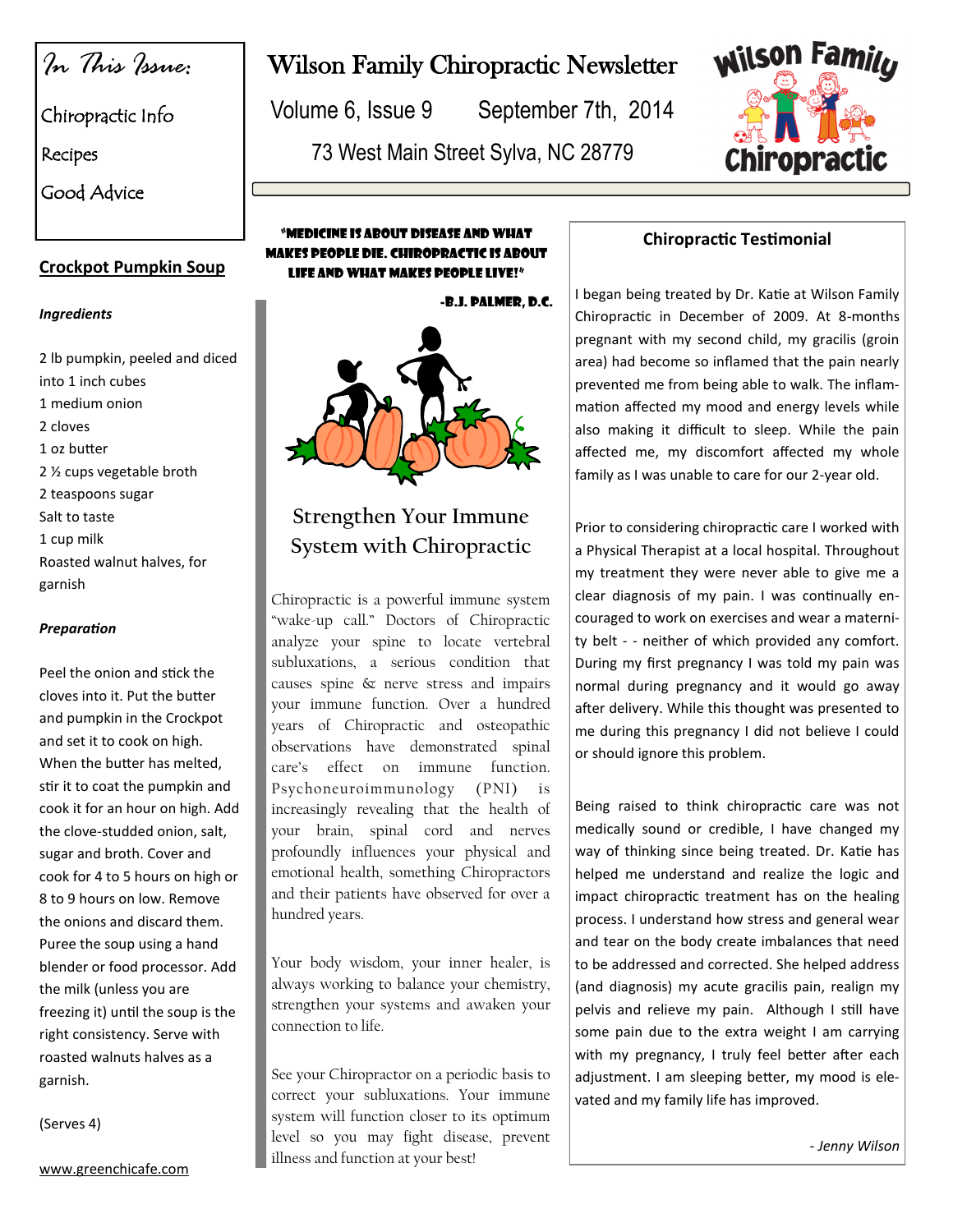*In This Issue:*

Chiropractic Info

Recipes

Good Advice

#### **Crockpot Pumpkin Soup**

#### *Ingredients*

2 lb pumpkin, peeled and diced into 1 inch cubes 1 medium onion 2 cloves 1 oz butter 2 ½ cups vegetable broth 2 teaspoons sugar Salt to taste 1 cup milk Roasted walnut halves, for garnish

#### *Preparation*

Peel the onion and stick the cloves into it. Put the butter and pumpkin in the Crockpot and set it to cook on high. When the butter has melted, stir it to coat the pumpkin and cook it for an hour on high. Add the clove-studded onion, salt, sugar and broth. Cover and cook for 4 to 5 hours on high or 8 to 9 hours on low. Remove the onions and discard them. Puree the soup using a hand blender or food processor. Add the milk (unless you are freezing it) until the soup is the right consistency. Serve with roasted walnuts halves as a garnish.

(Serves 4)

www.greenchicafe.com

## Wilson Family Chiropractic Newsletter

Volume 6, Issue 9 September 7th, 2014

73 West Main Street Sylva, NC 28779



#### "Medicine is about disease and what makes people die. Chiropractic is about LIFE AND WHAT MAKES PEOPLE LIVE!"

-B.J. Palmer, D.C.



### **Strengthen Your Immune System with Chiropractic**

Chiropractic is a powerful immune system "wake-up call." Doctors of Chiropractic analyze your spine to locate vertebral subluxations, a serious condition that causes spine & nerve stress and impairs your immune function. Over a hundred years of Chiropractic and osteopathic observations have demonstrated spinal care's effect on immune function. Psychoneuroimmunology (PNI) is increasingly revealing that the health of your brain, spinal cord and nerves profoundly influences your physical and emotional health, something Chiropractors and their patients have observed for over a hundred years.

Your body wisdom, your inner healer, is always working to balance your chemistry, strengthen your systems and awaken your connection to life.

See your Chiropractor on a periodic basis to correct your subluxations. Your immune system will function closer to its optimum level so you may fight disease, prevent illness and function at your best!

#### **Chiropractic Testimonial**

I began being treated by Dr. Katie at Wilson Family Chiropractic in December of 2009. At 8-months pregnant with my second child, my gracilis (groin area) had become so inflamed that the pain nearly prevented me from being able to walk. The inflammation affected my mood and energy levels while also making it difficult to sleep. While the pain affected me, my discomfort affected my whole family as I was unable to care for our 2-year old.

Prior to considering chiropractic care I worked with a Physical Therapist at a local hospital. Throughout my treatment they were never able to give me a clear diagnosis of my pain. I was continually encouraged to work on exercises and wear a maternity belt - - neither of which provided any comfort. During my first pregnancy I was told my pain was normal during pregnancy and it would go away after delivery. While this thought was presented to me during this pregnancy I did not believe I could or should ignore this problem.

Being raised to think chiropractic care was not medically sound or credible, I have changed my way of thinking since being treated. Dr. Katie has helped me understand and realize the logic and impact chiropractic treatment has on the healing process. I understand how stress and general wear and tear on the body create imbalances that need to be addressed and corrected. She helped address (and diagnosis) my acute gracilis pain, realign my pelvis and relieve my pain. Although I still have some pain due to the extra weight I am carrying with my pregnancy, I truly feel better after each adjustment. I am sleeping better, my mood is elevated and my family life has improved.

*- Jenny Wilson*